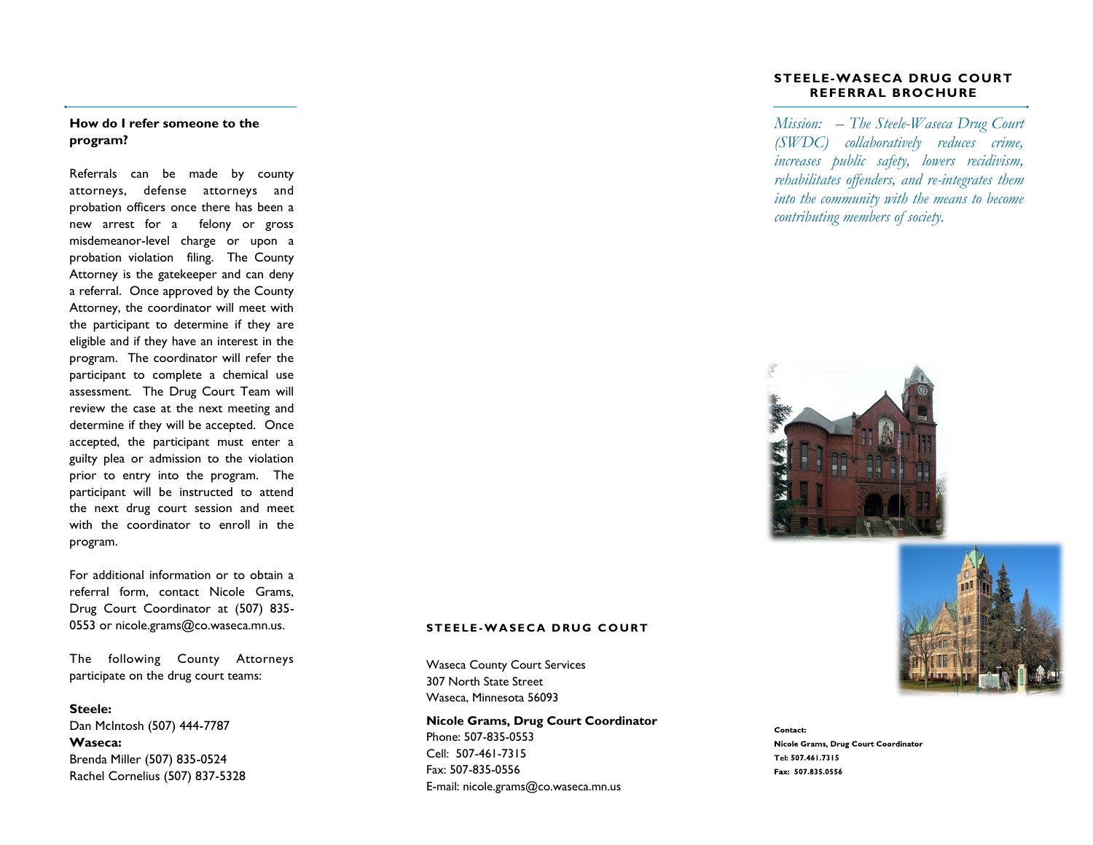### **How do I refer someone to the program?**

Referrals can be made by county attorneys, defense attorneys and probation officers once there has been a new arrest for a felony or gross misdemeanor-level charge or upon a probation violation filing. The County Attorney is the gatekeeper and can deny a referral. Once approved by the County Attorney, the coordinator will meet with the participant to determine if they are eligible and if they have an interest in the program. The coordinator will refer the participant to complete a chemical use assessment. The Drug Court Team will review the case at the next meeting and determine if they will be accepted. Once accepted, the participant must enter a guilty plea or admission to the violation prior to entry into the program. The participant will be instructed to attend the next drug court session and meet with the coordinator to enroll in the program.

For additional information or to obtain a referral form, contact Nicole Grams, Drug Court Coordinator at (507) 835- 0553 or nicole.grams@co.waseca.mn.us.

The following County Attorneys participate on the drug court teams:

**Steele:** Dan McIntosh (507) 444-7787 **Waseca:** Brenda Miller (507) 835-0524 Rachel Cornelius (507) 837-5328

#### **STEELE-WASECA DRUG COURT REFERRAL BROCHURE**

*Mission: – The Steele-Waseca Drug Court (SWDC) collaboratively reduces crime, increases public safety, lowers recidivism, rehabilitates offenders, and re-integrates them into the community with the means to become contributing members of society.*





#### **S T E E L E -W A S E C A D R U G C O U R T**

Waseca County Court Services 307 North State Street Waseca, Minnesota 56093

**Nicole Grams, Drug Court Coordinator** Phone: 507-835-0553 Cell: 507-461-7315 Fax: 507-835-0556 E-mail: nicole.grams@co.waseca.mn.us

Contact: Nicole Grams, Drug Court Coordinator **Tel:**  Fax: 507.835.0556